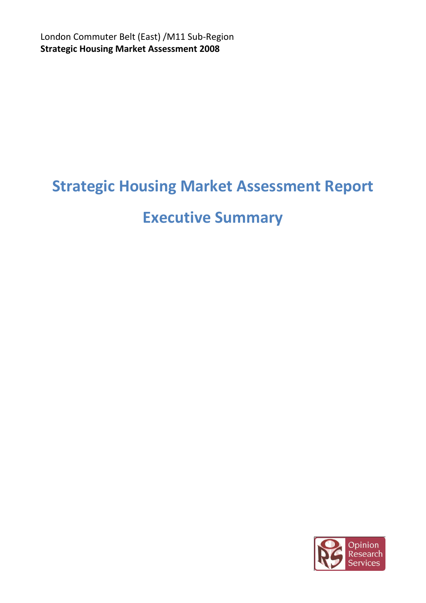London Commuter Belt (East) /M11 Sub-Region **Strategic Housing Market Assessment 2008**

# **Strategic Housing Market Assessment Report**

# **Executive Summary**

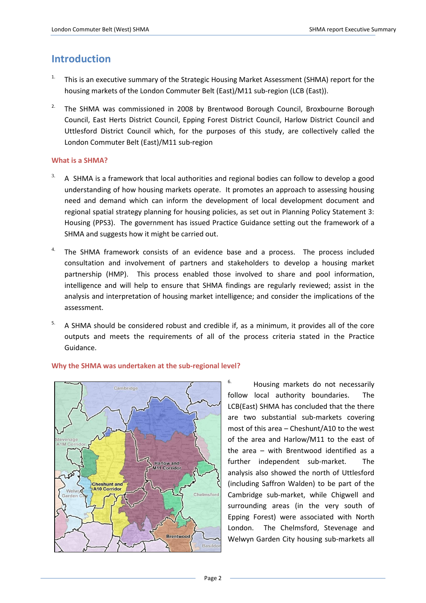# **Introduction**

- <sup>1.</sup> This is an executive summary of the Strategic Housing Market Assessment (SHMA) report for the housing markets of the London Commuter Belt (East)/M11 sub-region (LCB (East)).
- <sup>2.</sup> The SHMA was commissioned in 2008 by Brentwood Borough Council, Broxbourne Borough Council, East Herts District Council, Epping Forest District Council, Harlow District Council and Uttlesford District Council which, for the purposes of this study, are collectively called the London Commuter Belt (East)/M11 sub-region

### **What is a SHMA?**

- 3. A SHMA is a framework that local authorities and regional bodies can follow to develop a good understanding of how housing markets operate. It promotes an approach to assessing housing need and demand which can inform the development of local development document and regional spatial strategy planning for housing policies, as set out in Planning Policy Statement 3: Housing (PPS3). The government has issued Practice Guidance setting out the framework of a SHMA and suggests how it might be carried out.
- $4.$  The SHMA framework consists of an evidence base and a process. The process included consultation and involvement of partners and stakeholders to develop a housing market partnership (HMP). This process enabled those involved to share and pool information, intelligence and will help to ensure that SHMA findings are regularly reviewed; assist in the analysis and interpretation of housing market intelligence; and consider the implications of the assessment.
- $5.$  A SHMA should be considered robust and credible if, as a minimum, it provides all of the core outputs and meets the requirements of all of the process criteria stated in the Practice Guidance.



#### **Why the SHMA was undertaken at the sub-regional level?**

Housing markets do not necessarily follow local authority boundaries. The LCB(East) SHMA has concluded that the there are two substantial sub-markets covering most of this area – Cheshunt/A10 to the west of the area and Harlow/M11 to the east of the area – with Brentwood identified as a further independent sub-market. The analysis also showed the north of Uttlesford (including Saffron Walden) to be part of the Cambridge sub-market, while Chigwell and surrounding areas (in the very south of Epping Forest) were associated with North London. The Chelmsford, Stevenage and Welwyn Garden City housing sub-markets all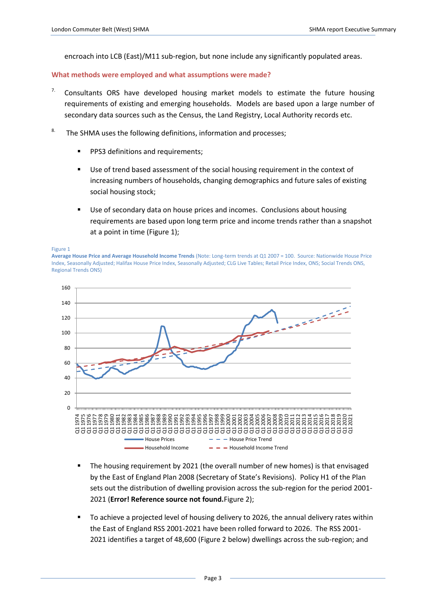encroach into LCB (East)/M11 sub-region, but none include any significantly populated areas.

#### **What methods were employed and what assumptions were made?**

- $7.$  Consultants ORS have developed housing market models to estimate the future housing requirements of existing and emerging households. Models are based upon a large number of secondary data sources such as the Census, the Land Registry, Local Authority records etc.
- <sup>8.</sup> The SHMA uses the following definitions, information and processes;
	- **PPS3 definitions and requirements;**
	- Use of trend based assessment of the social housing requirement in the context of increasing numbers of households, changing demographics and future sales of existing social housing stock;
	- Use of secondary data on house prices and incomes. Conclusions about housing requirements are based upon long term price and income trends rather than a snapshot at a point in time [\(Figure 1\)](#page-2-0);

<span id="page-2-0"></span>

**Average House Price and Average Household Income Trends** (Note: Long-term trends at Q1 2007 = 100. Source: Nationwide House Price Index, Seasonally Adjusted; Halifax House Price Index, Seasonally Adjusted; CLG Live Tables; Retail Price Index, ONS; Social Trends ONS, Regional Trends ONS)



- The housing requirement by 2021 (the overall number of new homes) is that envisaged by the East of England Plan 2008 (Secretary of State's Revisions). Policy H1 of the Plan sets out the distribution of dwelling provision across the sub-region for the period 2001- 2021 (**Error! Reference source not found.**[Figure 2\)](#page-3-0);
- To achieve a projected level of housing delivery to 2026, the annual delivery rates within the East of England RSS 2001-2021 have been rolled forward to 2026. The RSS 2001- 2021 identifies a target of 48,600 [\(Figure 2](#page-3-0) below) dwellings across the sub-region; and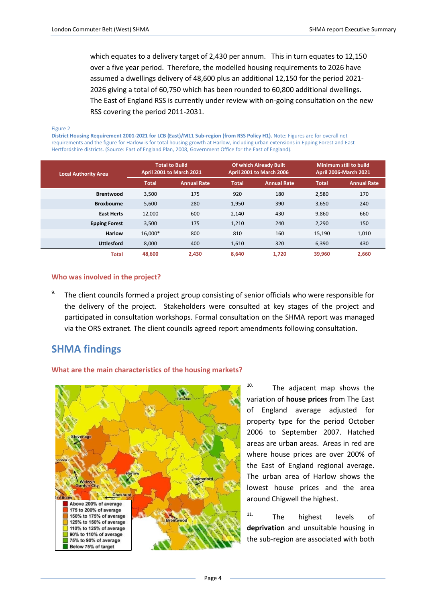which equates to a delivery target of 2,430 per annum. This in turn equates to 12,150 over a five year period. Therefore, the modelled housing requirements to 2026 have assumed a dwellings delivery of 48,600 plus an additional 12,150 for the period 2021- 2026 giving a total of 60,750 which has been rounded to 60,800 additional dwellings. The East of England RSS is currently under review with on-going consultation on the new RSS covering the period 2011-2031.

<span id="page-3-0"></span>Figure 2

**District Housing Requirement 2001-2021 for LCB (East)/M11 Sub-region (from RSS Policy H1).** Note: Figures are for overall net requirements and the figure for Harlow is for total housing growth at Harlow, including urban extensions in Epping Forest and East Hertfordshire districts. (Source: East of England Plan, 2008, Government Office for the East of England).

| <b>Local Authority Area</b> | <b>Total to Build</b><br>April 2001 to March 2021 |                    | <b>Of which Already Built</b><br>April 2001 to March 2006 |                    | Minimum still to build.<br><b>April 2006-March 2021</b> |                    |
|-----------------------------|---------------------------------------------------|--------------------|-----------------------------------------------------------|--------------------|---------------------------------------------------------|--------------------|
|                             | <b>Total</b>                                      | <b>Annual Rate</b> | <b>Total</b>                                              | <b>Annual Rate</b> | <b>Total</b>                                            | <b>Annual Rate</b> |
| <b>Brentwood</b>            | 3,500                                             | 175                | 920                                                       | 180                | 2,580                                                   | 170                |
| <b>Broxbourne</b>           | 5,600                                             | 280                | 1,950                                                     | 390                | 3,650                                                   | 240                |
| <b>East Herts</b>           | 12,000                                            | 600                | 2,140                                                     | 430                | 9,860                                                   | 660                |
| <b>Epping Forest</b>        | 3,500                                             | 175                | 1,210                                                     | 240                | 2,290                                                   | 150                |
| <b>Harlow</b>               | 16,000*                                           | 800                | 810                                                       | 160                | 15,190                                                  | 1,010              |
| <b>Uttlesford</b>           | 8.000                                             | 400                | 1,610                                                     | 320                | 6,390                                                   | 430                |
| <b>Total</b>                | 48.600                                            | 2,430              | 8,640                                                     | 1,720              | 39,960                                                  | 2,660              |

#### **Who was involved in the project?**

9. The client councils formed a project group consisting of senior officials who were responsible for the delivery of the project. Stakeholders were consulted at key stages of the project and participated in consultation workshops. Formal consultation on the SHMA report was managed via the ORS extranet. The client councils agreed report amendments following consultation.

## **SHMA findings**

#### **What are the main characteristics of the housing markets?**



 $10.$  The adjacent map shows the variation of **house prices** from The East of England average adjusted for property type for the period October 2006 to September 2007. Hatched areas are urban areas. Areas in red are where house prices are over 200% of the East of England regional average. The urban area of Harlow shows the lowest house prices and the area around Chigwell the highest.

11. The highest levels of **deprivation** and unsuitable housing in the sub-region are associated with both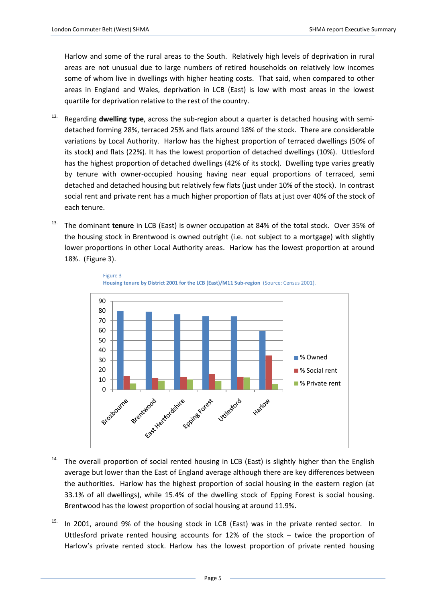Harlow and some of the rural areas to the South. Relatively high levels of deprivation in rural areas are not unusual due to large numbers of retired households on relatively low incomes some of whom live in dwellings with higher heating costs. That said, when compared to other areas in England and Wales, deprivation in LCB (East) is low with most areas in the lowest quartile for deprivation relative to the rest of the country.

- 12. Regarding **dwelling type**, across the sub-region about a quarter is detached housing with semidetached forming 28%, terraced 25% and flats around 18% of the stock. There are considerable variations by Local Authority. Harlow has the highest proportion of terraced dwellings (50% of its stock) and flats (22%). It has the lowest proportion of detached dwellings (10%). Uttlesford has the highest proportion of detached dwellings (42% of its stock). Dwelling type varies greatly by tenure with owner-occupied housing having near equal proportions of terraced, semi detached and detached housing but relatively few flats (just under 10% of the stock). In contrast social rent and private rent has a much higher proportion of flats at just over 40% of the stock of each tenure.
- 13. The dominant **tenure** in LCB (East) is owner occupation at 84% of the total stock. Over 35% of the housing stock in Brentwood is owned outright (i.e. not subject to a mortgage) with slightly lower proportions in other Local Authority areas. Harlow has the lowest proportion at around 18%. (Figure 3).





- <sup>14.</sup> The overall proportion of social rented housing in LCB (East) is slightly higher than the English average but lower than the East of England average although there are key differences between the authorities. Harlow has the highest proportion of social housing in the eastern region (at 33.1% of all dwellings), while 15.4% of the dwelling stock of Epping Forest is social housing. Brentwood has the lowest proportion of social housing at around 11.9%.
- $15.$  In 2001, around 9% of the housing stock in LCB (East) was in the private rented sector. In Uttlesford private rented housing accounts for 12% of the stock – twice the proportion of Harlow's private rented stock. Harlow has the lowest proportion of private rented housing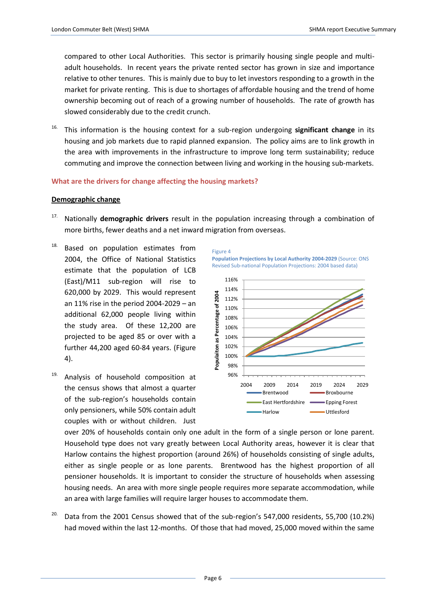compared to other Local Authorities. This sector is primarily housing single people and multiadult households. In recent years the private rented sector has grown in size and importance relative to other tenures. This is mainly due to buy to let investors responding to a growth in the market for private renting. This is due to shortages of affordable housing and the trend of home ownership becoming out of reach of a growing number of households. The rate of growth has slowed considerably due to the credit crunch.

16. This information is the housing context for a sub-region undergoing **significant change** in its housing and job markets due to rapid planned expansion. The policy aims are to link growth in the area with improvements in the infrastructure to improve long term sustainability; reduce commuting and improve the connection between living and working in the housing sub-markets.

### **What are the drivers for change affecting the housing markets?**

#### **Demographic change**

- 17. Nationally **demographic drivers** result in the population increasing through a combination of more births, fewer deaths and a net inward migration from overseas.
- <sup>18.</sup> Based on population estimates from 2004, the Office of National Statistics estimate that the population of LCB (East)/M11 sub-region will rise to 620,000 by 2029. This would represent an 11% rise in the period 2004-2029 – an additional 62,000 people living within the study area. Of these 12,200 are projected to be aged 85 or over with a further 44,200 aged 60-84 years. (Figure 4).
- <sup>19.</sup> Analysis of household composition at the census shows that almost a quarter of the sub-region's households contain only pensioners, while 50% contain adult couples with or without children. Just



**Population Projections by Local Authority 2004-2029** (Source: ONS Revised Sub-national Population Projections: 2004 based data)



over 20% of households contain only one adult in the form of a single person or lone parent. Household type does not vary greatly between Local Authority areas, however it is clear that Harlow contains the highest proportion (around 26%) of households consisting of single adults, either as single people or as lone parents. Brentwood has the highest proportion of all pensioner households. It is important to consider the structure of households when assessing housing needs. An area with more single people requires more separate accommodation, while an area with large families will require larger houses to accommodate them.

<sup>20.</sup> Data from the 2001 Census showed that of the sub-region's 547,000 residents, 55,700 (10.2%) had moved within the last 12-months. Of those that had moved, 25,000 moved within the same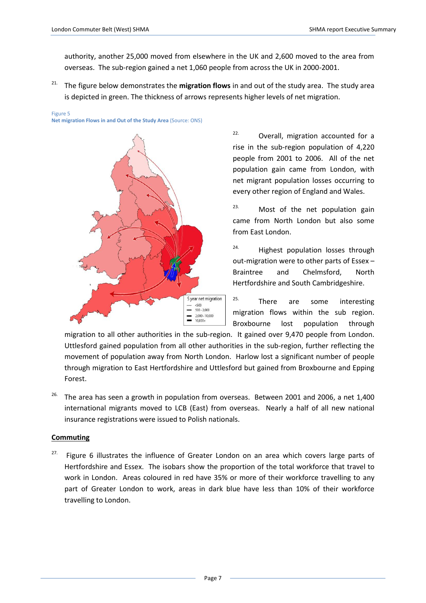authority, another 25,000 moved from elsewhere in the UK and 2,600 moved to the area from overseas. The sub-region gained a net 1,060 people from across the UK in 2000-2001.

<sup>21.</sup> The figure below demonstrates the **migration flows** in and out of the study area. The study area is depicted in green. The thickness of arrows represents higher levels of net migration.

#### Figure 5

**Net migration Flows in and Out of the Study Area** (Source: ONS)



22. Overall, migration accounted for a rise in the sub-region population of 4,220 people from 2001 to 2006. All of the net population gain came from London, with net migrant population losses occurring to every other region of England and Wales.

 $23.$  Most of the net population gain came from North London but also some from East London.

24. Highest population losses through out-migration were to other parts of Essex – Braintree and Chelmsford, North Hertfordshire and South Cambridgeshire.

<sup>25.</sup> There are some interesting migration flows within the sub region. Broxbourne lost population through

migration to all other authorities in the sub-region. It gained over 9,470 people from London. Uttlesford gained population from all other authorities in the sub-region, further reflecting the movement of population away from North London. Harlow lost a significant number of people through migration to East Hertfordshire and Uttlesford but gained from Broxbourne and Epping Forest.

 $26.$  The area has seen a growth in population from overseas. Between 2001 and 2006, a net 1,400 international migrants moved to LCB (East) from overseas. Nearly a half of all new national insurance registrations were issued to Polish nationals.

#### **Commuting**

 $27.$  [Figure 6](#page-7-0) illustrates the influence of Greater London on an area which covers large parts of Hertfordshire and Essex. The isobars show the proportion of the total workforce that travel to work in London. Areas coloured in red have 35% or more of their workforce travelling to any part of Greater London to work, areas in dark blue have less than 10% of their workforce travelling to London.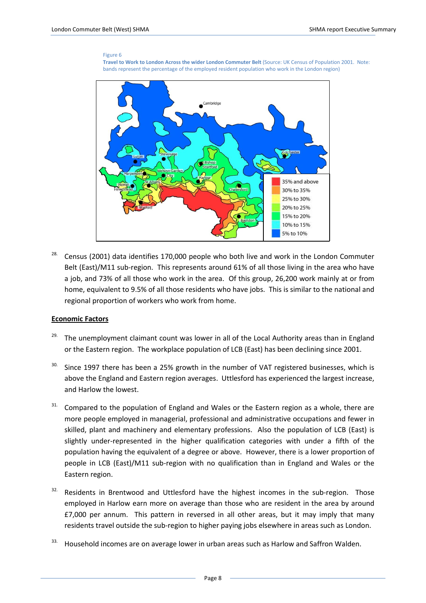#### Figure 6



<span id="page-7-0"></span>

 $28.$  Census (2001) data identifies 170,000 people who both live and work in the London Commuter Belt (East)/M11 sub-region. This represents around 61% of all those living in the area who have a job, and 73% of all those who work in the area. Of this group, 26,200 work mainly at or from home, equivalent to 9.5% of all those residents who have jobs. This is similar to the national and regional proportion of workers who work from home.

#### **Economic Factors**

- <sup>29.</sup> The unemployment claimant count was lower in all of the Local Authority areas than in England or the Eastern region. The workplace population of LCB (East) has been declining since 2001.
- <sup>30.</sup> Since 1997 there has been a 25% growth in the number of VAT registered businesses, which is above the England and Eastern region averages. Uttlesford has experienced the largest increase, and Harlow the lowest.
- $31.$  Compared to the population of England and Wales or the Eastern region as a whole, there are more people employed in managerial, professional and administrative occupations and fewer in skilled, plant and machinery and elementary professions. Also the population of LCB (East) is slightly under-represented in the higher qualification categories with under a fifth of the population having the equivalent of a degree or above. However, there is a lower proportion of people in LCB (East)/M11 sub-region with no qualification than in England and Wales or the Eastern region.
- $32.$  Residents in Brentwood and Uttlesford have the highest incomes in the sub-region. Those employed in Harlow earn more on average than those who are resident in the area by around £7,000 per annum. This pattern in reversed in all other areas, but it may imply that many residents travel outside the sub-region to higher paying jobs elsewhere in areas such as London.
- <sup>33.</sup> Household incomes are on average lower in urban areas such as Harlow and Saffron Walden.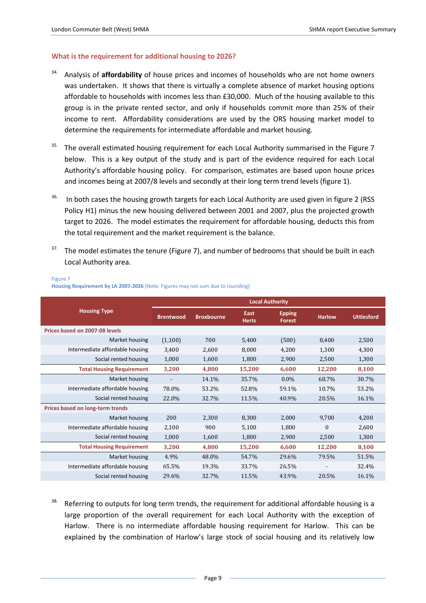#### **What is the requirement for additional housing to 2026?**

- 34. Analysis of **affordability** of house prices and incomes of households who are not home owners was undertaken. It shows that there is virtually a complete absence of market housing options affordable to households with incomes less than £30,000. Much of the housing available to this group is in the private rented sector, and only if households commit more than 25% of their income to rent. Affordability considerations are used by the ORS housing market model to determine the requirements for intermediate affordable and market housing.
- $35.$  The overall estimated housing requirement for each Local Authority summarised in the [Figure 7](#page-8-0) below. This is a key output of the study and is part of the evidence required for each Local Authority's affordable housing policy. For comparison, estimates are based upon house prices and incomes being at 2007/8 levels and secondly at their long term trend levels (figure 1).
- <sup>36.</sup> In both cases the housing growth targets for each Local Authority are used given in figure 2 (RSS Policy H1) minus the new housing delivered between 2001 and 2007, plus the projected growth target to 2026. The model estimates the requirement for affordable housing, deducts this from the total requirement and the market requirement is the balance.
- <sup>37.</sup> The model estimates the tenure [\(Figure 7\)](#page-8-0), and number of bedrooms that should be built in each Local Authority area.

|                                  | <b>Local Authority</b> |                   |                      |                         |               |                   |  |
|----------------------------------|------------------------|-------------------|----------------------|-------------------------|---------------|-------------------|--|
| <b>Housing Type</b>              | <b>Brentwood</b>       | <b>Broxbourne</b> | East<br><b>Herts</b> | <b>Epping</b><br>Forest | <b>Harlow</b> | <b>Uttlesford</b> |  |
| Prices based on 2007-08 levels   |                        |                   |                      |                         |               |                   |  |
| Market housing                   | (1,100)                | 700               | 5,400                | (500)                   | 8,400         | 2,500             |  |
| Intermediate affordable housing  | 3,400                  | 2,600             | 8,000                | 4,200                   | 1,300         | 4,300             |  |
| Social rented housing            | 1,000                  | 1,600             | 1,800                | 2,900                   | 2,500         | 1,300             |  |
| <b>Total Housing Requirement</b> | 3,200                  | 4,800             | 15,200               | 6,600                   | 12,200        | 8,100             |  |
| Market housing                   |                        | 14.1%             | 35.7%                | $0.0\%$                 | 68.7%         | 30.7%             |  |
| Intermediate affordable housing  | 78.0%                  | 53.2%             | 52.8%                | 59.1%                   | 10.7%         | 53.2%             |  |
| Social rented housing            | 22.0%                  | 32.7%             | 11.5%                | 40.9%                   | 20.5%         | 16.1%             |  |
| Prices based on long-term trends |                        |                   |                      |                         |               |                   |  |
| Market housing                   | 200                    | 2,300             | 8,300                | 2,000                   | 9,700         | 4,200             |  |
| Intermediate affordable housing  | 2,100                  | 900               | 5,100                | 1,800                   | $\Omega$      | 2,600             |  |
| Social rented housing            | 1,000                  | 1,600             | 1,800                | 2,900                   | 2,500         | 1,300             |  |
| <b>Total Housing Requirement</b> | 3,200                  | 4,800             | 15,200               | 6,600                   | 12,200        | 8,100             |  |
| Market housing                   | 4.9%                   | 48.0%             | 54.7%                | 29.6%                   | 79.5%         | 51.5%             |  |
| Intermediate affordable housing  | 65.5%                  | 19.3%             | 33.7%                | 26.5%                   |               | 32.4%             |  |
| Social rented housing            | 29.6%                  | 32.7%             | 11.5%                | 43.9%                   | 20.5%         | 16.1%             |  |

#### <span id="page-8-0"></span>Figure 7 **Housing Requirement by LA 2007-2026** (Note: Figures may not sum due to rounding)

<sup>38.</sup> Referring to outputs for long term trends, the requirement for additional affordable housing is a large proportion of the overall requirement for each Local Authority with the exception of Harlow. There is no intermediate affordable housing requirement for Harlow. This can be explained by the combination of Harlow's large stock of social housing and its relatively low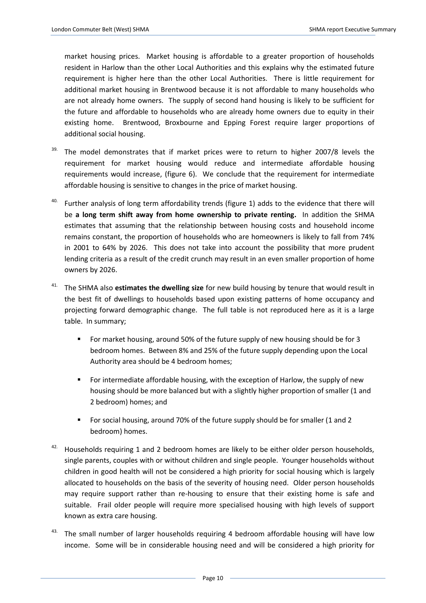market housing prices. Market housing is affordable to a greater proportion of households resident in Harlow than the other Local Authorities and this explains why the estimated future requirement is higher here than the other Local Authorities. There is little requirement for additional market housing in Brentwood because it is not affordable to many households who are not already home owners. The supply of second hand housing is likely to be sufficient for the future and affordable to households who are already home owners due to equity in their existing home. Brentwood, Broxbourne and Epping Forest require larger proportions of additional social housing.

- $39.$  The model demonstrates that if market prices were to return to higher 2007/8 levels the requirement for market housing would reduce and intermediate affordable housing requirements would increase, (figure 6). We conclude that the requirement for intermediate affordable housing is sensitive to changes in the price of market housing.
- <sup>40.</sup> Further analysis of long term affordability trends (figure 1) adds to the evidence that there will be **a long term shift away from home ownership to private renting.** In addition the SHMA estimates that assuming that the relationship between housing costs and household income remains constant, the proportion of households who are homeowners is likely to fall from 74% in 2001 to 64% by 2026. This does not take into account the possibility that more prudent lending criteria as a result of the credit crunch may result in an even smaller proportion of home owners by 2026.
- 41. The SHMA also **estimates the dwelling size** for new build housing by tenure that would result in the best fit of dwellings to households based upon existing patterns of home occupancy and projecting forward demographic change. The full table is not reproduced here as it is a large table. In summary;
	- For market housing, around 50% of the future supply of new housing should be for 3 bedroom homes. Between 8% and 25% of the future supply depending upon the Local Authority area should be 4 bedroom homes;
	- For intermediate affordable housing, with the exception of Harlow, the supply of new housing should be more balanced but with a slightly higher proportion of smaller (1 and 2 bedroom) homes; and
	- For social housing, around 70% of the future supply should be for smaller (1 and 2 bedroom) homes.
- 42. Households requiring 1 and 2 bedroom homes are likely to be either older person households, single parents, couples with or without children and single people. Younger households without children in good health will not be considered a high priority for social housing which is largely allocated to households on the basis of the severity of housing need. Older person households may require support rather than re-housing to ensure that their existing home is safe and suitable. Frail older people will require more specialised housing with high levels of support known as extra care housing.
- $43.$  The small number of larger households requiring 4 bedroom affordable housing will have low income. Some will be in considerable housing need and will be considered a high priority for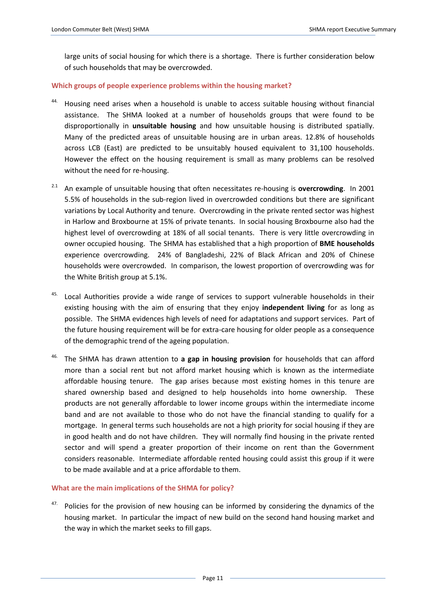large units of social housing for which there is a shortage. There is further consideration below of such households that may be overcrowded.

#### **Which groups of people experience problems within the housing market?**

- 44. Housing need arises when a household is unable to access suitable housing without financial assistance. The SHMA looked at a number of households groups that were found to be disproportionally in **unsuitable housing** and how unsuitable housing is distributed spatially. Many of the predicted areas of unsuitable housing are in urban areas. 12.8% of households across LCB (East) are predicted to be unsuitably housed equivalent to 31,100 households. However the effect on the housing requirement is small as many problems can be resolved without the need for re-housing.
- 2.1 An example of unsuitable housing that often necessitates re-housing is **overcrowding**. In 2001 5.5% of households in the sub-region lived in overcrowded conditions but there are significant variations by Local Authority and tenure. Overcrowding in the private rented sector was highest in Harlow and Broxbourne at 15% of private tenants. In social housing Broxbourne also had the highest level of overcrowding at 18% of all social tenants. There is very little overcrowding in owner occupied housing. The SHMA has established that a high proportion of **BME households** experience overcrowding. 24% of Bangladeshi, 22% of Black African and 20% of Chinese households were overcrowded. In comparison, the lowest proportion of overcrowding was for the White British group at 5.1%.
- $45.$  Local Authorities provide a wide range of services to support vulnerable households in their existing housing with the aim of ensuring that they enjoy **independent living** for as long as possible. The SHMA evidences high levels of need for adaptations and support services. Part of the future housing requirement will be for extra-care housing for older people as a consequence of the demographic trend of the ageing population.
- 46. The SHMA has drawn attention to **a gap in housing provision** for households that can afford more than a social rent but not afford market housing which is known as the intermediate affordable housing tenure. The gap arises because most existing homes in this tenure are shared ownership based and designed to help households into home ownership. These products are not generally affordable to lower income groups within the intermediate income band and are not available to those who do not have the financial standing to qualify for a mortgage. In general terms such households are not a high priority for social housing if they are in good health and do not have children. They will normally find housing in the private rented sector and will spend a greater proportion of their income on rent than the Government considers reasonable. Intermediate affordable rented housing could assist this group if it were to be made available and at a price affordable to them.

#### **What are the main implications of the SHMA for policy?**

47. Policies for the provision of new housing can be informed by considering the dynamics of the housing market. In particular the impact of new build on the second hand housing market and the way in which the market seeks to fill gaps.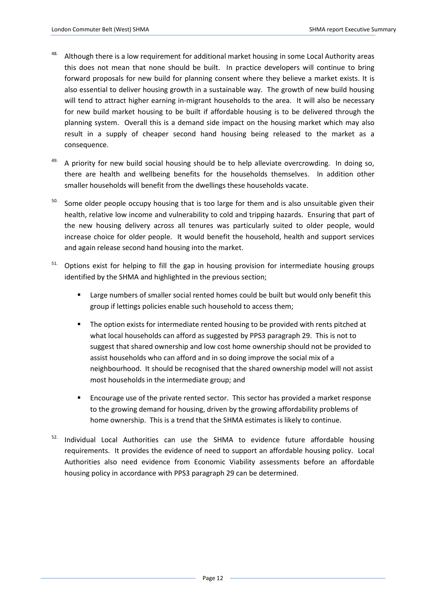- <sup>48.</sup> Although there is a low requirement for additional market housing in some Local Authority areas this does not mean that none should be built. In practice developers will continue to bring forward proposals for new build for planning consent where they believe a market exists. It is also essential to deliver housing growth in a sustainable way. The growth of new build housing will tend to attract higher earning in-migrant households to the area. It will also be necessary for new build market housing to be built if affordable housing is to be delivered through the planning system. Overall this is a demand side impact on the housing market which may also result in a supply of cheaper second hand housing being released to the market as a consequence.
- $49.$  A priority for new build social housing should be to help alleviate overcrowding. In doing so, there are health and wellbeing benefits for the households themselves. In addition other smaller households will benefit from the dwellings these households vacate.
- <sup>50.</sup> Some older people occupy housing that is too large for them and is also unsuitable given their health, relative low income and vulnerability to cold and tripping hazards. Ensuring that part of the new housing delivery across all tenures was particularly suited to older people, would increase choice for older people. It would benefit the household, health and support services and again release second hand housing into the market.
- Options exist for helping to fill the gap in housing provision for intermediate housing groups identified by the SHMA and highlighted in the previous section;
	- **EXECT** Large numbers of smaller social rented homes could be built but would only benefit this group if lettings policies enable such household to access them;
	- The option exists for intermediate rented housing to be provided with rents pitched at what local households can afford as suggested by PPS3 paragraph 29. This is not to suggest that shared ownership and low cost home ownership should not be provided to assist households who can afford and in so doing improve the social mix of a neighbourhood. It should be recognised that the shared ownership model will not assist most households in the intermediate group; and
	- Encourage use of the private rented sector. This sector has provided a market response to the growing demand for housing, driven by the growing affordability problems of home ownership. This is a trend that the SHMA estimates is likely to continue.
- 52. Individual Local Authorities can use the SHMA to evidence future affordable housing requirements. It provides the evidence of need to support an affordable housing policy. Local Authorities also need evidence from Economic Viability assessments before an affordable housing policy in accordance with PPS3 paragraph 29 can be determined.